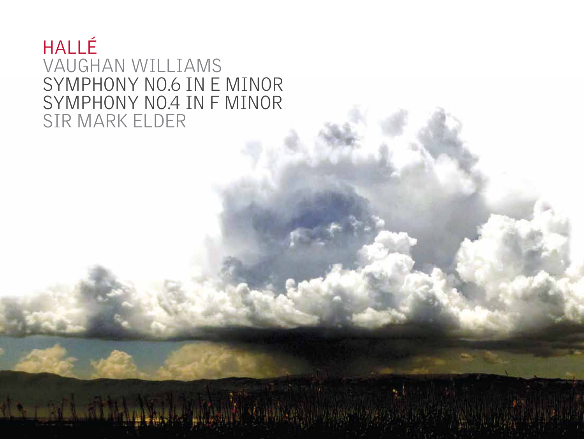# **HALLÉ** VAUGHAN WILLIAMS SYMPHONY No.6 IN E MINOR SYMPHONY No.4 IN F MINOR SIR MARK ELDER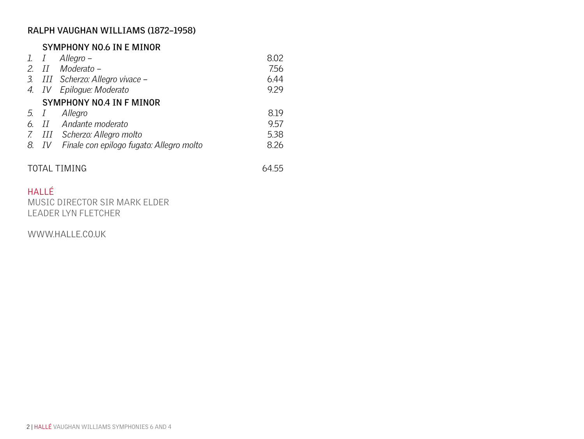# **RALPH VAUGHAN WILLIAMS (1872–1958)**

# **Symphony No.6 in E minor**

|                          |  | 1. $I$ Allegro –                               | 8.02 |
|--------------------------|--|------------------------------------------------|------|
|                          |  | 2. II Moderato –                               | 7.56 |
|                          |  | 3. III Scherzo: Allegro vivace -               | 6.44 |
|                          |  | 4. IV Epiloque: Moderato                       | 9.29 |
| SYMPHONY NO.4 IN F MINOR |  |                                                |      |
| 5. $I$                   |  | Allegro                                        | 819  |
|                          |  | 6. II Andante moderato                         | 9.57 |
|                          |  | 7. III Scherzo: Allegro molto                  | 5.38 |
|                          |  | 8. IV Finale con epilogo fugato: Allegro molto | 8.26 |
|                          |  |                                                |      |

# TOTAL TIMING 64.55

# **HALLÉ**

MUSIC DIRECTOR SIR MARK ELDER LEADER LYN FLETCHER

WWW.HALLE.CO.UK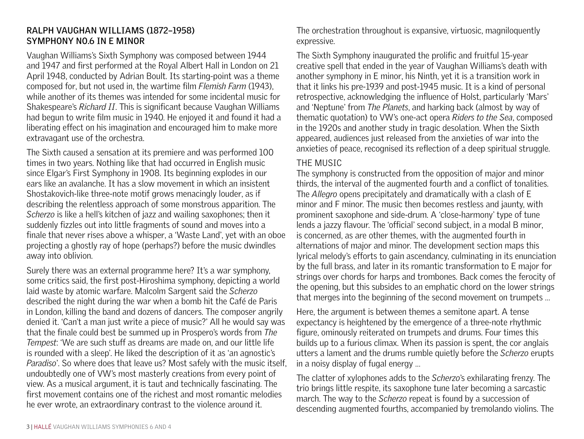# **RALPH VAUGHAN WILLIAMS (1872–1958) Symphony No.6 in E minor**

Vaughan Williams's Sixth Symphony was composed between 1944 and 1947 and first performed at the Royal Albert Hall in London on 21 April 1948, conducted by Adrian Boult. Its starting-point was a theme composed for, but not used in, the wartime film *Flemish Farm* (1943), while another of its themes was intended for some incidental music for Shakespeare's *Richard II*. This is significant because Vaughan Williams had begun to write film music in 1940. He enjoyed it and found it had a liberating effect on his imagination and encouraged him to make more extravagant use of the orchestra.

The Sixth caused a sensation at its premiere and was performed 100 times in two years. Nothing like that had occurred in English music since Elgar's First Symphony in 1908. Its beginning explodes in our ears like an avalanche. It has a slow movement in which an insistent Shostakovich-like three-note motif grows menacingly louder, as if describing the relentless approach of some monstrous apparition. The *Scherzo* is like a hell's kitchen of jazz and wailing saxophones; then it suddenly fizzles out into little fragments of sound and moves into a finale that never rises above a whisper, a 'Waste Land', yet with an oboe projecting a ghostly ray of hope (perhaps?) before the music dwindles away into oblivion.

Surely there was an external programme here? It's a war symphony, some critics said, the first post-Hiroshima symphony, depicting a world laid waste by atomic warfare. Malcolm Sargent said the *Scherzo* described the night during the war when a bomb hit the Café de Paris in London, killing the band and dozens of dancers. The composer angrily denied it. 'Can't a man just write a piece of music?' All he would say was that the finale could best be summed up in Prospero's words from *The Tempest*: 'We are such stuff as dreams are made on, and our little life is rounded with a sleep'. He liked the description of it as 'an agnostic's *Paradiso*'. So where does that leave us? Most safely with the music itself, undoubtedly one of VW's most masterly creations from every point of view. As a musical argument, it is taut and technically fascinating. The first movement contains one of the richest and most romantic melodies he ever wrote, an extraordinary contrast to the violence around it.

The orchestration throughout is expansive, virtuosic, magniloquently expressive.

The Sixth Symphony inaugurated the prolific and fruitful 15-year creative spell that ended in the year of Vaughan Williams's death with another symphony in E minor, his Ninth, yet it is a transition work in that it links his pre-1939 and post-1945 music. It is a kind of personal retrospective, acknowledging the influence of Holst, particularly 'Mars' and 'Neptune' from *The Planets*, and harking back (almost by way of thematic quotation) to VW's one-act opera *Riders to the Sea*, composed in the 1920s and another study in tragic desolation. When the Sixth appeared, audiences just released from the anxieties of war into the anxieties of peace, recognised its reflection of a deep spiritual struggle.

# THE MUSIC

The symphony is constructed from the opposition of major and minor thirds, the interval of the augmented fourth and a conflict of tonalities. The *Allegro* opens precipitately and dramatically with a clash of E minor and F minor. The music then becomes restless and jaunty, with prominent saxophone and side-drum. A 'close-harmony' type of tune lends a jazzy flavour. The 'official' second subject, in a modal B minor, is concerned, as are other themes, with the augmented fourth in alternations of major and minor. The development section maps this lyrical melody's efforts to gain ascendancy, culminating in its enunciation by the full brass, and later in its romantic transformation to E major for strings over chords for harps and trombones. Back comes the ferocity of the opening, but this subsides to an emphatic chord on the lower strings that merges into the beginning of the second movement on trumpets …

Here, the argument is between themes a semitone apart. A tense expectancy is heightened by the emergence of a three-note rhythmic figure, ominously reiterated on trumpets and drums. Four times this builds up to a furious climax. When its passion is spent, the cor anglais utters a lament and the drums rumble quietly before the *Scherzo* erupts in a noisy display of fugal energy …

The clatter of xylophones adds to the *Scherzo*'s exhilarating frenzy. The trio brings little respite, its saxophone tune later becoming a sarcastic march. The way to the *Scherzo* repeat is found by a succession of descending augmented fourths, accompanied by tremolando violins. The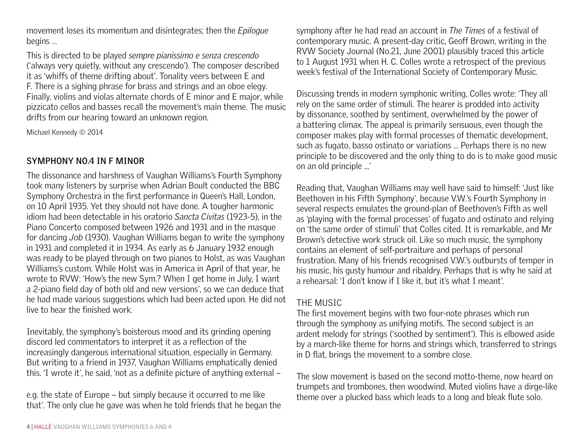movement loses its momentum and disintegrates; then the *Epilogue* begins …

This is directed to be played *sempre pianissimo e senza crescendo* ('always very quietly, without any crescendo'). The composer described it as 'whiffs of theme drifting about'. Tonality veers between E and F. There is a sighing phrase for brass and strings and an oboe elegy. Finally, violins and violas alternate chords of E minor and E major, while pizzicato cellos and basses recall the movement's main theme. The music drifts from our hearing toward an unknown region.

Michael Kennedy © 2014

# **Symphony No.4 in F minor**

The dissonance and harshness of Vaughan Williams's Fourth Symphony took many listeners by surprise when Adrian Boult conducted the BBC Symphony Orchestra in the first performance in Queen's Hall, London, on 10 April 1935. Yet they should not have done. A tougher harmonic idiom had been detectable in his oratorio *Sancta Civitas* (1923-5), in the Piano Concerto composed between 1926 and 1931 and in the masque for dancing *Job* (1930). Vaughan Williams began to write the symphony in 1931 and completed it in 1934. As early as 6 January 1932 enough was ready to be played through on two pianos to Holst, as was Vaughan Williams's custom. While Holst was in America in April of that year, he wrote to RVW: 'How's the new Sym.? When I get home in July, I want a 2-piano field day of both old and new versions', so we can deduce that he had made various suggestions which had been acted upon. He did not live to hear the finished work.

Inevitably, the symphony's boisterous mood and its grinding opening discord led commentators to interpret it as a reflection of the increasingly dangerous international situation, especially in Germany. But writing to a friend in 1937, Vaughan Williams emphatically denied this. 'I wrote it', he said, 'not as a definite picture of anything external –

e.g. the state of Europe – but simply because it occurred to me like that'. The only clue he gave was when he told friends that he began the symphony after he had read an account in *The Times* of a festival of contemporary music. A present-day critic, Geoff Brown, writing in the RVW Society Journal (No.21, June 2001) plausibly traced this article to 1 August 1931 when H. C. Colles wrote a retrospect of the previous week's festival of the International Society of Contemporary Music.

Discussing trends in modern symphonic writing, Colles wrote: 'They all rely on the same order of stimuli. The hearer is prodded into activity by dissonance, soothed by sentiment, overwhelmed by the power of a battering climax. The appeal is primarily sensuous, even though the composer makes play with formal processes of thematic development, such as fugato, basso ostinato or variations ... Perhaps there is no new principle to be discovered and the only thing to do is to make good music on an old principle ...'

Reading that, Vaughan Williams may well have said to himself: 'Just like Beethoven in his Fifth Symphony', because V.W.'s Fourth Symphony in several respects emulates the ground-plan of Beethoven's Fifth as well as 'playing with the formal processes' of fugato and ostinato and relying on 'the same order of stimuli' that Colles cited. It is remarkable, and Mr Brown's detective work struck oil. Like so much music, the symphony contains an element of self-portraiture and perhaps of personal frustration. Many of his friends recognised V.W.'s outbursts of temper in his music, his gusty humour and ribaldry. Perhaps that is why he said at a rehearsal: 'I don't know if I like it, but it's what I meant'.

# THE MUSIC

The first movement begins with two four-note phrases which run through the symphony as unifying motifs. The second subject is an ardent melody for strings ('soothed by sentiment'). This is elbowed aside by a march-like theme for horns and strings which, transferred to strings in D flat, brings the movement to a sombre close.

The slow movement is based on the second motto-theme, now heard on trumpets and trombones, then woodwind. Muted violins have a dirge-like theme over a plucked bass which leads to a long and bleak flute solo.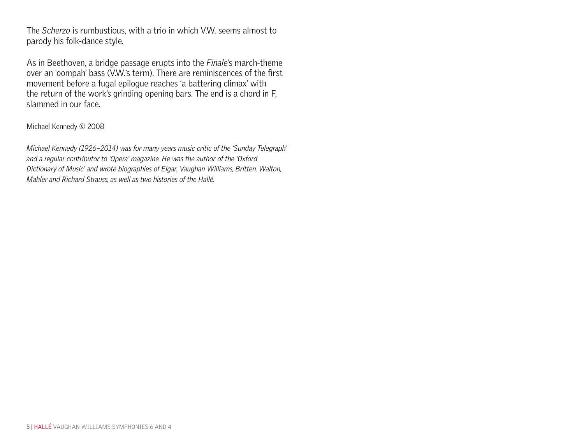The *Scherzo* is rumbustious, with a trio in which V.W. seems almost to parody his folk-dance style.

As in Beethoven, a bridge passage erupts into the *Finale*'s march-theme over an 'oompah' bass (V.W.'s term). There are reminiscences of the first movement before a fugal epilogue reaches 'a battering climax' with the return of the work's grinding opening bars. The end is a chord in F, slammed in our face.

Michael Kennedy © 2008

*Michael Kennedy (1926–2014) was for many years music critic of the 'Sunday Telegraph' and a regular contributor to 'Opera' magazine. He was the author of the 'Oxford Dictionary of Music' and wrote biographies of Elgar, Vaughan Williams, Britten, Walton, Mahler and Richard Strauss, as well as two histories of the Hallé.*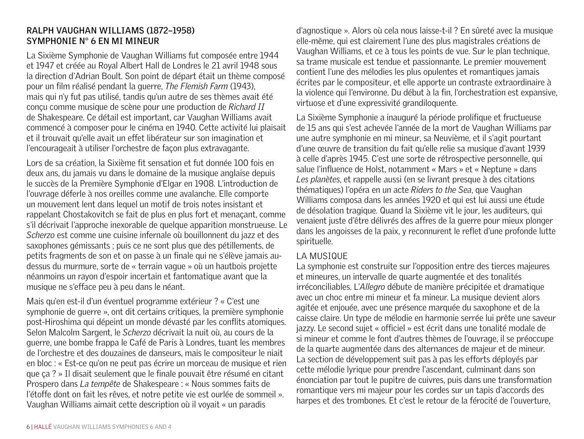# **RALPH VAUGHAN WILLIAMS (1872–1958) Symphonie n° 6 en mi mineur**

La Sixième Symphonie de Vaughan Williams fut composée entre 1944 et 1947 et créée au Royal Albert Hall de Londres le 21 avril 1948 sous la direction d'Adrian Boult. Son point de départ était un thème composé pour un film réalisé pendant la guerre, *The Flemish Farm* (1943), mais qui n'y fut pas utilisé, tandis qu'un autre de ses thèmes avait été conçu comme musique de scène pour une production de *Richard II*  de Shakespeare. Ce détail est important, car Vaughan Williams avait commencé à composer pour le cinéma en 1940. Cette activité lui plaisait et il trouvait qu'elle avait un effet libérateur sur son imagination et l'encourageait à utiliser l'orchestre de façon plus extravagante.

Lors de sa création, la Sixième fit sensation et fut donnée 100 fois en deux ans, du jamais vu dans le domaine de la musique anglaise depuis le succès de la Première Symphonie d'Elgar en 1908. L'introduction de l'ouvrage déferle à nos oreilles comme une avalanche. Elle comporte un mouvement lent dans lequel un motif de trois notes insistant et rappelant Chostakovitch se fait de plus en plus fort et menaçant, comme s'il décrivait l'approche inexorable de quelque apparition monstrueuse. Le *Scherzo* est comme une cuisine infernale où bouillonnent du jazz et des saxophones gémissants ; puis ce ne sont plus que des pétillements, de petits fragments de son et on passe à un finale qui ne s'élève jamais audessus du murmure, sorte de « terrain vague » où un hautbois projette néanmoins un rayon d'espoir incertain et fantomatique avant que la musique ne s'efface peu à peu dans le néant.

Mais qu'en est-il d'un éventuel programme extérieur ? « C'est une symphonie de guerre », ont dit certains critiques, la première symphonie post-Hiroshima qui dépeint un monde dévasté par les conflits atomiques. Selon Malcolm Sargent, le *Scherzo* décrivait la nuit où, au cours de la guerre, une bombe frappa le Café de Paris à Londres, tuant les membres de l'orchestre et des douzaines de danseurs, mais le compositeur le niait en bloc : « Est-ce qu'on ne peut pas écrire un morceau de musique et rien que ça ? » Il disait seulement que le finale pouvait être résumé en citant Prospero dans *La tempête* de Shakespeare : « Nous sommes faits de l'étoffe dont on fait les rêves, et notre petite vie est ourlée de sommeil ». Vaughan Williams aimait cette description où il voyait « un paradis

d'agnostique ». Alors où cela nous laisse-t-il ? En sûreté avec la musique elle-même, qui est clairement l'une des plus magistrales créations de Vaughan Williams, et ce à tous les points de vue. Sur le plan technique, sa trame musicale est tendue et passionnante. Le premier mouvement contient l'une des mélodies les plus opulentes et romantiques jamais écrites par le compositeur, et elle apporte un contraste extraordinaire à la violence qui l'environne. Du début à la fin, l'orchestration est expansive, virtuose et d'une expressivité grandiloquente.

La Sixième Symphonie a inauguré la période prolifique et fructueuse de 15 ans qui s'est achevée l'année de la mort de Vaughan Williams par une autre symphonie en mi mineur, sa Neuvième, et il s'agit pourtant d'une œuvre de transition du fait qu'elle relie sa musique d'avant 1939 à celle d'après 1945. C'est une sorte de rétrospective personnelle, qui salue l'influence de Holst, notamment « Mars » et « Neptune » dans *Les planètes*, et rappelle aussi (en se livrant presque à des citations thématiques) l'opéra en un acte *Riders to the Sea*, que Vaughan Williams composa dans les années 1920 et qui est lui aussi une étude de désolation tragique. Quand la Sixième vit le jour, les auditeurs, qui venaient juste d'être délivrés des affres de la guerre pour mieux plonger dans les angoisses de la paix, y reconnurent le reflet d'une profonde lutte spirituelle.

# LA MUSIQUE

La symphonie est construite sur l'opposition entre des tierces majeures et mineures, un intervalle de quarte augmentée et des tonalités irréconciliables. L'*Allegro* débute de manière précipitée et dramatique avec un choc entre mi mineur et fa mineur. La musique devient alors agitée et enjouée, avec une présence marquée du saxophone et de la caisse claire. Un type de mélodie en harmonie serrée lui prête une saveur jazzy. Le second sujet « officiel » est écrit dans une tonalité modale de si mineur et comme le font d'autres thèmes de l'ouvrage, il se préoccupe de la quarte augmentée dans des alternances de majeur et de mineur. La section de développement suit pas à pas les efforts déployés par cette mélodie lyrique pour prendre l'ascendant, culminant dans son énonciation par tout le pupitre de cuivres, puis dans une transformation romantique vers mi majeur pour les cordes sur un tapis d'accords des harpes et des trombones. Et c'est le retour de la férocité de l'ouverture,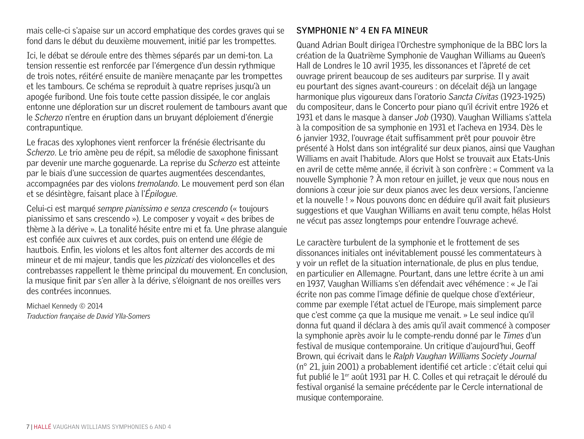mais celle-ci s'apaise sur un accord emphatique des cordes graves qui se fond dans le début du deuxième mouvement, initié par les trompettes.

Ici, le débat se déroule entre des thèmes séparés par un demi-ton. La tension ressentie est renforcée par l'émergence d'un dessin rythmique de trois notes, réitéré ensuite de manière menaçante par les trompettes et les tambours. Ce schéma se reproduit à quatre reprises jusqu'à un apogée furibond. Une fois toute cette passion dissipée, le cor anglais entonne une déploration sur un discret roulement de tambours avant que le *Scherzo* n'entre en éruption dans un bruyant déploiement d'énergie contrapuntique.

Le fracas des xylophones vient renforcer la frénésie électrisante du *Scherzo*. Le trio amène peu de répit, sa mélodie de saxophone finissant par devenir une marche goguenarde. La reprise du *Scherzo* est atteinte par le biais d'une succession de quartes augmentées descendantes, accompagnées par des violons *tremolando*. Le mouvement perd son élan et se désintègre, faisant place à l'*Épilogue*.

Celui-ci est marqué *sempre pianissimo e senza crescendo* (« toujours pianissimo et sans crescendo »). Le composer y voyait « des bribes de thème à la dérive ». La tonalité hésite entre mi et fa. Une phrase alanguie est confiée aux cuivres et aux cordes, puis on entend une élégie de hautbois. Enfin, les violons et les altos font alterner des accords de mi mineur et de mi majeur, tandis que les *pizzicati* des violoncelles et des contrebasses rappellent le thème principal du mouvement. En conclusion, la musique finit par s'en aller à la dérive, s'éloignant de nos oreilles vers des contrées inconnues.

Michael Kennedy © 2014 *Traduction française de David Ylla-Somers*

# **Symphonie n° 4 en fa mineur**

Quand Adrian Boult dirigea l'Orchestre symphonique de la BBC lors la création de la Quatrième Symphonie de Vaughan Williams au Queen's Hall de Londres le 10 avril 1935, les dissonances et l'âpreté de cet ouvrage prirent beaucoup de ses auditeurs par surprise. Il y avait eu pourtant des signes avant-coureurs : on décelait déjà un langage harmonique plus vigoureux dans l'oratorio *Sancta Civitas* (1923-1925) du compositeur, dans le Concerto pour piano qu'il écrivit entre 1926 et 1931 et dans le masque à danser *Job* (1930). Vaughan Williams s'attela à la composition de sa symphonie en 1931 et l'acheva en 1934. Dès le 6 janvier 1932, l'ouvrage était suffisamment prêt pour pouvoir être présenté à Holst dans son intégralité sur deux pianos, ainsi que Vaughan Williams en avait l'habitude. Alors que Holst se trouvait aux Etats-Unis en avril de cette même année, il écrivit à son confrère : « Comment va la nouvelle Symphonie ? À mon retour en juillet, je veux que nous nous en donnions à cœur joie sur deux pianos avec les deux versions, l'ancienne et la nouvelle ! » Nous pouvons donc en déduire qu'il avait fait plusieurs suggestions et que Vaughan Williams en avait tenu compte, hélas Holst ne vécut pas assez longtemps pour entendre l'ouvrage achevé.

Le caractère turbulent de la symphonie et le frottement de ses dissonances initiales ont inévitablement poussé les commentateurs à y voir un reflet de la situation internationale, de plus en plus tendue, en particulier en Allemagne. Pourtant, dans une lettre écrite à un ami en 1937, Vaughan Williams s'en défendait avec véhémence : « Je l'ai écrite non pas comme l'image définie de quelque chose d'extérieur, comme par exemple l'état actuel de l'Europe, mais simplement parce que c'est comme ça que la musique me venait. » Le seul indice qu'il donna fut quand il déclara à des amis qu'il avait commencé à composer la symphonie après avoir lu le compte-rendu donné par le *Times* d'un festival de musique contemporaine. Un critique d'aujourd'hui, Geoff Brown, qui écrivait dans le *Ralph Vaughan Williams Society Journal* (n° 21, juin 2001) a probablement identifié cet article : c'était celui qui fut publié le 1<sup>er</sup> août 1931 par H. C. Colles et qui retracait le déroulé du festival organisé la semaine précédente par le Cercle international de musique contemporaine.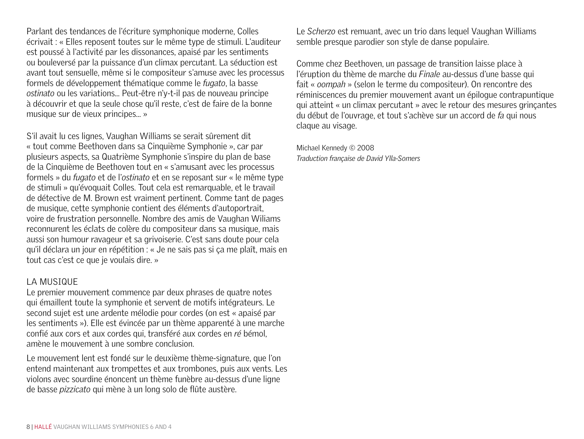Parlant des tendances de l'écriture symphonique moderne, Colles écrivait : « Elles reposent toutes sur le même type de stimuli. L'auditeur est poussé à l'activité par les dissonances, apaisé par les sentiments ou bouleversé par la puissance d'un climax percutant. La séduction est avant tout sensuelle, même si le compositeur s'amuse avec les processus formels de développement thématique comme le *fugato*, la basse *ostinato* ou les variations... Peut-être n'y-t-il pas de nouveau principe à découvrir et que la seule chose qu'il reste, c'est de faire de la bonne musique sur de vieux principes... »

S'il avait lu ces lignes, Vaughan Williams se serait sûrement dit « tout comme Beethoven dans sa Cinquième Symphonie », car par plusieurs aspects, sa Quatrième Symphonie s'inspire du plan de base de la Cinquième de Beethoven tout en « s'amusant avec les processus formels » du *fugato* et de l'*ostinato* et en se reposant sur « le même type de stimuli » qu'évoquait Colles. Tout cela est remarquable, et le travail de détective de M. Brown est vraiment pertinent. Comme tant de pages de musique, cette symphonie contient des éléments d'autoportrait, voire de frustration personnelle. Nombre des amis de Vaughan Wiliams reconnurent les éclats de colère du compositeur dans sa musique, mais aussi son humour ravageur et sa grivoiserie. C'est sans doute pour cela qu'il déclara un jour en répétition : « Je ne sais pas si ça me plaît, mais en tout cas c'est ce que je voulais dire. »

# LA MUSIQUE

Le premier mouvement commence par deux phrases de quatre notes qui émaillent toute la symphonie et servent de motifs intégrateurs. Le second sujet est une ardente mélodie pour cordes (on est « apaisé par les sentiments »). Elle est évincée par un thème apparenté à une marche confié aux cors et aux cordes qui, transféré aux cordes en *ré* bémol, amène le mouvement à une sombre conclusion.

Le mouvement lent est fondé sur le deuxième thème-signature, que l'on entend maintenant aux trompettes et aux trombones, puis aux vents. Les violons avec sourdine énoncent un thème funèbre au-dessus d'une ligne de basse *pizzicato* qui mène à un long solo de flûte austère.

Le *Scherzo* est remuant, avec un trio dans lequel Vaughan Williams semble presque parodier son style de danse populaire.

Comme chez Beethoven, un passage de transition laisse place à l'éruption du thème de marche du *Finale* au-dessus d'une basse qui fait « *oompah* » (selon le terme du compositeur). On rencontre des réminiscences du premier mouvement avant un épilogue contrapuntique qui atteint « un climax percutant » avec le retour des mesures grinçantes du début de l'ouvrage, et tout s'achève sur un accord de *fa* qui nous claque au visage.

Michael Kennedy © 2008 *Traduction française de David Ylla-Somers*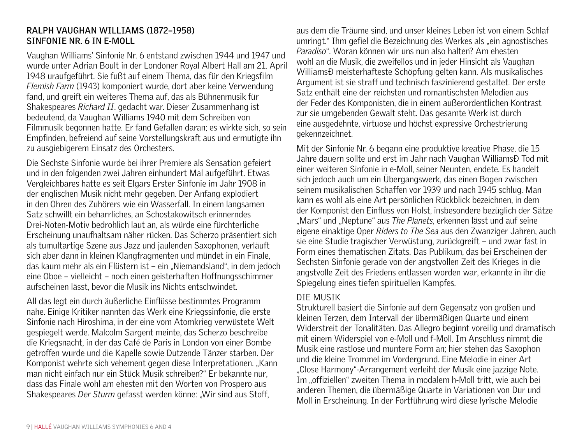# **RALPH VAUGHAN WILLIAMS (1872–1958) Sinfonie Nr. 6 in e-Moll**

Vaughan Williams' Sinfonie Nr. 6 entstand zwischen 1944 und 1947 und wurde unter Adrian Boult in der Londoner Royal Albert Hall am 21. April 1948 uraufgeführt. Sie fußt auf einem Thema, das für den Kriegsfilm *Flemish Farm* (1943) komponiert wurde, dort aber keine Verwendung fand, und greift ein weiteres Thema auf, das als Bühnenmusik für Shakespeares *Richard II*. gedacht war. Dieser Zusammenhang ist bedeutend, da Vaughan Williams 1940 mit dem Schreiben von Filmmusik begonnen hatte. Er fand Gefallen daran; es wirkte sich, so sein Empfinden, befreiend auf seine Vorstellungskraft aus und ermutigte ihn zu ausgiebigerem Einsatz des Orchesters.

Die Sechste Sinfonie wurde bei ihrer Premiere als Sensation gefeiert und in den folgenden zwei Jahren einhundert Mal aufgeführt. Etwas Vergleichbares hatte es seit Elgars Erster Sinfonie im Jahr 1908 in der englischen Musik nicht mehr gegeben. Der Anfang explodiert in den Ohren des Zuhörers wie ein Wasserfall. In einem langsamen Satz schwillt ein beharrliches, an Schostakowitsch erinnerndes Drei-Noten-Motiv bedrohlich laut an, als würde eine fürchterliche Erscheinung unaufhaltsam näher rücken. Das Scherzo präsentiert sich als tumultartige Szene aus Jazz und jaulenden Saxophonen, verläuft sich aber dann in kleinen Klangfragmenten und mündet in ein Finale, das kaum mehr als ein Flüstern ist – ein "Niemandsland", in dem jedoch eine Oboe – vielleicht – noch einen geisterhaften Hoffnungsschimmer aufscheinen lässt, bevor die Musik ins Nichts entschwindet.

All das legt ein durch äußerliche Einflüsse bestimmtes Programm nahe. Einige Kritiker nannten das Werk eine Kriegssinfonie, die erste Sinfonie nach Hiroshima, in der eine vom Atomkrieg verwüstete Welt gespiegelt werde. Malcolm Sargent meinte, das Scherzo beschreibe die Kriegsnacht, in der das Café de Paris in London von einer Bombe getroffen wurde und die Kapelle sowie Dutzende Tänzer starben. Der Komponist wehrte sich vehement gegen diese Interpretationen. "Kann man nicht einfach nur ein Stück Musik schreiben?" Er bekannte nur, dass das Finale wohl am ehesten mit den Worten von Prospero aus Shakespeares *Der Sturm* gefasst werden könne: "Wir sind aus Stoff,

aus dem die Träume sind, und unser kleines Leben ist von einem Schlaf umringt." Ihm gefiel die Bezeichnung des Werkes als "ein agnostisches *Paradiso*". Woran können wir uns nun also halten? Am ehesten wohl an die Musik, die zweifellos und in jeder Hinsicht als Vaughan WilliamsĐ meisterhafteste Schöpfung gelten kann. Als musikalisches Argument ist sie straff und technisch faszinierend gestaltet. Der erste Satz enthält eine der reichsten und romantischsten Melodien aus der Feder des Komponisten, die in einem außerordentlichen Kontrast zur sie umgebenden Gewalt steht. Das gesamte Werk ist durch eine ausgedehnte, virtuose und höchst expressive Orchestrierung gekennzeichnet.

Mit der Sinfonie Nr. 6 begann eine produktive kreative Phase, die 15 Jahre dauern sollte und erst im Jahr nach Vaughan WilliamsĐ Tod mit einer weiteren Sinfonie in e-Moll, seiner Neunten, endete. Es handelt sich jedoch auch um ein Übergangswerk, das einen Bogen zwischen seinem musikalischen Schaffen vor 1939 und nach 1945 schlug. Man kann es wohl als eine Art persönlichen Rückblick bezeichnen, in dem der Komponist den Einfluss von Holst, insbesondere bezüglich der Sätze "Mars" und "Neptune" aus *The Planets*, erkennen lässt und auf seine eigene einaktige Oper *Riders to The Sea* aus den Zwanziger Jahren, auch sie eine Studie tragischer Verwüstung, zurückgreift – und zwar fast in Form eines thematischen Zitats. Das Publikum, das bei Erscheinen der Sechsten Sinfonie gerade von der angstvollen Zeit des Krieges in die angstvolle Zeit des Friedens entlassen worden war, erkannte in ihr die Spiegelung eines tiefen spirituellen Kampfes.

# DIE MUSIK

Strukturell basiert die Sinfonie auf dem Gegensatz von großen und kleinen Terzen, dem Intervall der übermäßigen Quarte und einem Widerstreit der Tonalitäten. Das Allegro beginnt voreilig und dramatisch mit einem Widerspiel von e-Moll und f-Moll. Im Anschluss nimmt die Musik eine rastlose und muntere Form an; hier stehen das Saxophon und die kleine Trommel im Vordergrund. Eine Melodie in einer Art "Close Harmony"-Arrangement verleiht der Musik eine jazzige Note. Im "offiziellen" zweiten Thema in modalem h-Moll tritt, wie auch bei anderen Themen, die übermäßige Quarte in Variationen von Dur und Moll in Erscheinung. In der Fortführung wird diese lyrische Melodie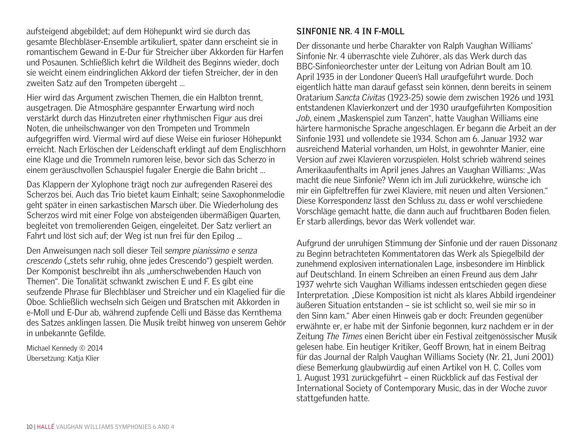aufsteigend abgebildet; auf dem Höhepunkt wird sie durch das gesamte Blechbläser-Ensemble artikuliert, später dann erscheint sie in romantischem Gewand in E-Dur für Streicher über Akkorden für Harfen und Posaunen. Schließlich kehrt die Wildheit des Beginns wieder, doch sie weicht einem eindringlichen Akkord der tiefen Streicher, der in den zweiten Satz auf den Trompeten übergeht …

Hier wird das Argument zwischen Themen, die ein Halbton trennt, ausgetragen. Die Atmosphäre gespannter Erwartung wird noch verstärkt durch das Hinzutreten einer rhythmischen Figur aus drei Noten, die unheilschwanger von den Trompeten und Trommeln aufgegriffen wird. Viermal wird auf diese Weise ein furioser Höhepunkt erreicht. Nach Erlöschen der Leidenschaft erklingt auf dem Englischhorn eine Klage und die Trommeln rumoren leise, bevor sich das Scherzo in einem geräuschvollen Schauspiel fugaler Energie die Bahn bricht …

Das Klappern der Xylophone trägt noch zur aufregenden Raserei des Scherzos bei. Auch das Trio bietet kaum Einhalt; seine Saxophonmelodie geht später in einen sarkastischen Marsch über. Die Wiederholung des Scherzos wird mit einer Folge von absteigenden übermäßigen Quarten, begleitet von tremolierenden Geigen, eingeleitet. Der Satz verliert an Fahrt und löst sich auf; der Weg ist nun frei für den Epilog …

Den Anweisungen nach soll dieser Teil *sempre pianissimo e senza crescendo* ("stets sehr ruhig, ohne jedes Crescendo") gespielt werden. Der Komponist beschreibt ihn als "umherschwebenden Hauch von Themen". Die Tonalität schwankt zwischen E und F. Es gibt eine seufzende Phrase für Blechbläser und Streicher und ein Klagelied für die Oboe. Schließlich wechseln sich Geigen und Bratschen mit Akkorden in e-Moll und E-Dur ab, während zupfende Celli und Bässe das Kernthema des Satzes anklingen lassen. Die Musik treibt hinweg von unserem Gehör in unbekannte Gefilde.

Michael Kennedy © 2014 Übersetzung: Katja Klier

# **Sinfonie Nr. 4 in f-Moll**

Der dissonante und herbe Charakter von Ralph Vaughan Williams' Sinfonie Nr. 4 überraschte viele Zuhörer, als das Werk durch das BBC-Sinfonieorchester unter der Leitung von Adrian Boult am 10. April 1935 in der Londoner Queen's Hall uraufgeführt wurde. Doch eigentlich hätte man darauf gefasst sein können, denn bereits in seinem Oratarium *Sancta Civitas* (1923-25) sowie dem zwischen 1926 und 1931 entstandenen Klavierkonzert und der 1930 uraufgeführten Komposition *Job*, einem "Maskenspiel zum Tanzen", hatte Vaughan Williams eine härtere harmonische Sprache angeschlagen. Er begann die Arbeit an der Sinfonie 1931 und vollendete sie 1934. Schon am 6. Januar 1932 war ausreichend Material vorhanden, um Holst, in gewohnter Manier, eine Version auf zwei Klavieren vorzuspielen. Holst schrieb während seines Amerikaaufenthalts im April jenes Jahres an Vaughan Williams: "Was macht die neue Sinfonie? Wenn ich im Juli zurückkehre, wünsche ich mir ein Gipfeltreffen für zwei Klaviere, mit neuen und alten Versionen." Diese Korrespondenz lässt den Schluss zu, dass er wohl verschiedene Vorschläge gemacht hatte, die dann auch auf fruchtbaren Boden fielen. Er starb allerdings, bevor das Werk vollendet war.

Aufgrund der unruhigen Stimmung der Sinfonie und der rauen Dissonanz zu Beginn betrachteten Kommentatoren das Werk als Spiegelbild der zunehmend explosiven internationalen Lage, insbesondere im Hinblick auf Deutschland. In einem Schreiben an einen Freund aus dem Jahr 1937 wehrte sich Vaughan Williams indessen entschieden gegen diese Interpretation. "Diese Komposition ist nicht als klares Abbild irgendeiner äußeren Situation entstanden – sie ist schlicht so, weil sie mir so in den Sinn kam." Aber einen Hinweis gab er doch: Freunden gegenüber erwähnte er, er habe mit der Sinfonie begonnen, kurz nachdem er in der Zeitung *The Times* einen Bericht über ein Festival zeitgenössischer Musik gelesen habe. Ein heutiger Kritiker, Geoff Brown, hat in einem Beitrag für das Journal der Ralph Vaughan Williams Society (Nr. 21, Juni 2001) diese Bemerkung glaubwürdig auf einen Artikel von H. C. Colles vom 1. August 1931 zurückgeführt – einen Rückblick auf das Festival der International Society of Contemporary Music, das in der Woche zuvor stattgefunden hatte.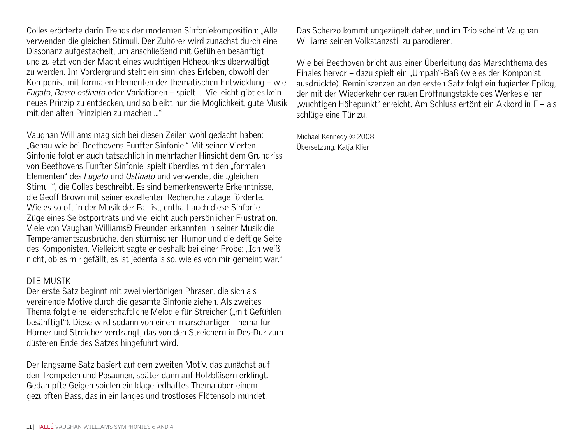Colles erörterte darin Trends der modernen Sinfoniekomposition: "Alle verwenden die gleichen Stimuli. Der Zuhörer wird zunächst durch eine Dissonanz aufgestachelt, um anschließend mit Gefühlen besänftigt und zuletzt von der Macht eines wuchtigen Höhepunkts überwältigt zu werden. Im Vordergrund steht ein sinnliches Erleben, obwohl der Komponist mit formalen Elementen der thematischen Entwicklung – wie *Fugato*, *Basso ostinato* oder Variationen – spielt … Vielleicht gibt es kein neues Prinzip zu entdecken, und so bleibt nur die Möglichkeit, gute Musik mit den alten Prinzipien zu machen ..."

Vaughan Williams mag sich bei diesen Zeilen wohl gedacht haben: "Genau wie bei Beethovens Fünfter Sinfonie." Mit seiner Vierten Sinfonie folgt er auch tatsächlich in mehrfacher Hinsicht dem Grundriss von Beethovens Fünfter Sinfonie, spielt überdies mit den "formalen Elementen" des *Fugato* und Ostinato und verwendet die "gleichen Stimuli", die Colles beschreibt. Es sind bemerkenswerte Erkenntnisse, die Geoff Brown mit seiner exzellenten Recherche zutage förderte. Wie es so oft in der Musik der Fall ist, enthält auch diese Sinfonie Züge eines Selbstporträts und vielleicht auch persönlicher Frustration. Viele von Vaughan Williams D Freunden erkannten in seiner Musik die Temperamentsausbrüche, den stürmischen Humor und die deftige Seite des Komponisten. Vielleicht sagte er deshalb bei einer Probe: "Ich weiß nicht, ob es mir gefällt, es ist jedenfalls so, wie es von mir gemeint war."

# DIE MUSIK

Der erste Satz beginnt mit zwei viertönigen Phrasen, die sich als vereinende Motive durch die gesamte Sinfonie ziehen. Als zweites Thema folgt eine leidenschaftliche Melodie für Streicher ("mit Gefühlen besänftigt"). Diese wird sodann von einem marschartigen Thema für Hörner und Streicher verdrängt, das von den Streichern in Des-Dur zum düsteren Ende des Satzes hingeführt wird.

Der langsame Satz basiert auf dem zweiten Motiv, das zunächst auf den Trompeten und Posaunen, später dann auf Holzbläsern erklingt. Gedämpfte Geigen spielen ein klageliedhaftes Thema über einem gezupften Bass, das in ein langes und trostloses Flötensolo mündet.

Das Scherzo kommt ungezügelt daher, und im Trio scheint Vaughan Williams seinen Volkstanzstil zu parodieren.

Wie bei Beethoven bricht aus einer Überleitung das Marschthema des Finales hervor – dazu spielt ein "Umpah"-Baß (wie es der Komponist ausdrückte). Reminiszenzen an den ersten Satz folgt ein fugierter Epilog, der mit der Wiederkehr der rauen Eröffnungstakte des Werkes einen "wuchtigen Höhepunkt" erreicht. Am Schluss ertönt ein Akkord in F – als schlüge eine Tür zu.

Michael Kennedy © 2008 Übersetzung: Katja Klier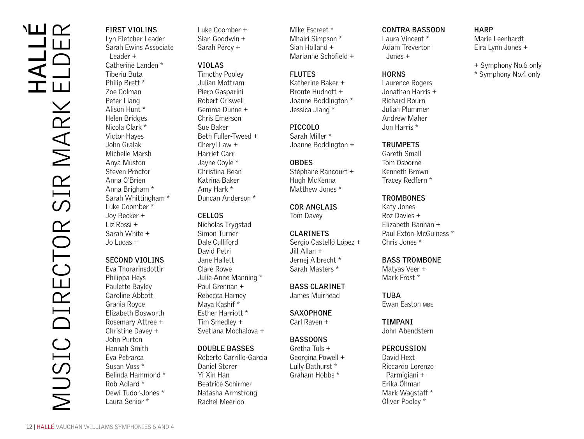# MUSIC DIRECTOR SIR MARK ELDERMARK SIR DIRECTOR VIUSIC

# **First Violins**

Lyn Fletcher Leader Sarah Ewins Associate Leader + Catherine Landen \* Tiberiu Buta Philip Brett \* Zoe Colman Peter Liang Alison Hunt \* Helen Bridges Nicola Clark \* Victor Hayes John Gralak Michelle Marsh Anya Muston Steven Proctor Anna O'Brien Anna Brigham \* Sarah Whittingham \* Luke Coomber \* Joy Becker + Liz Rossi + Sarah White + Jo Lucas + + Symphony No.6 only Publishers and Publishers and Publishers and Publishers and Publishers and Publishers and Publishers and Publishers and Publishers and Publishers and Publishers and Publishers and Publishers and Publi

# **Second Violins**

Eva Thorarinsdottir Philippa Heys Paulette Bayley Caroline Abbott Grania Royce Elizabeth Bosworth Rosemary Attree + Christine Davey + John Purton Hannah Smith Eva Petrarca Susan Voss \* Belinda Hammond \* Rob Adlard \* Dewi Tudor-Jones \* Laura Senior \*

Luke Coomber + Sian Goodwin + Sarah Percy +

#### **Violas**

Timothy Pooley Julian Mottram Piero Gasparini Robert Criswell Gemma Dunne + Chris Emerson Sue Baker Beth Fuller-Tweed + Cheryl Law + Harriet Carr Jayne Coyle \* Christina Bean Katrina Baker Amy Hark \* Duncan Anderson \*

# **Cellos**

Nicholas Trygstad Simon Turner Dale Culliford David Petri Jane Hallett Clare Rowe Julie-Anne Manning \* Paul Grennan + Rebecca Harney Maya Kashif \* Esther Harriott \* Tim Smedley + Svetlana Mochalova +

# **Double Basses**

Roberto Carrillo-Garcia Daniel Storer Yi Xin Han Beatrice Schirmer Natasha Armstrong Rachel Meerloo

Mike Escreet \* Mhairi Simpson \* Sian Holland + Marianne Schofield +

# **Flutes**

Katherine Baker + Bronte Hudnott + Joanne Boddington \* Jessica Jiang \*

#### **PICCOLO**

Sarah Miller \* Joanne Boddington +

# **Oboes**

Stéphane Rancourt + Hugh McKenna Matthew Jones \*

**Cor Anglais** Tom Davey

#### **Clarinets**

Sergio Castelló López + Jill Allan + Jernej Albrecht \* Sarah Masters \*

**Bass Clarinet** James Muirhead

**SAXOPHONE** Carl Raven +

# **Bassoons**

Gretha Tuls + Georgina Powell + Lully Bathurst \* Graham Hobbs \*

#### **Contra Bassoon**

Laura Vincent \* Adam Treverton Jones +

#### **Horns**

Laurence Rogers Jonathan Harris + Richard Bourn Julian Plummer Andrew Maher Jon Harris \*

# **Trumpets**

Gareth Small Tom Osborne Kenneth Brown Tracey Redfern \*

#### **Trombones**

Katy Jones Roz Davies + Elizabeth Bannan + Paul Exton-McGuiness \* Chris Jones \*

# **Bass Trombone**

Matyas Veer + Mark Frost \*

# **TURA**

**Ewan Easton MBE** 

#### **TIMPANI Timpani**

John Abendstern

#### **Percussion**

David Hext Riccardo Lorenzo Parmigiani + Erika Öhman Mark Wagstaff<sup>\*</sup> Oliver Pooley \*

#### 12 | HALLÉ VAUGHAN WILLIAMS SYMPHONIES 6 AND 4

**Harp**

Marie Leenhardt Eira Lynn Jones +

\* Symphony No.4 only